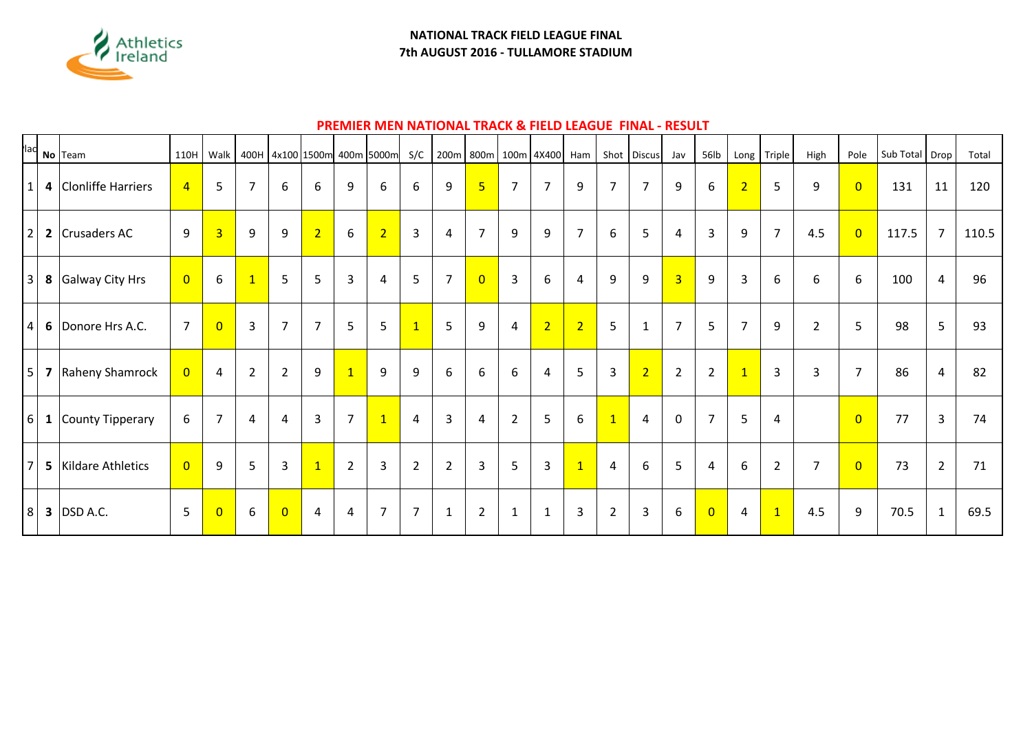

### **NATIONAL TRACK FIELD LEAGUE FINAL 7th AUGUST 2016 - TULLAMORE STADIUM**

# **PREMIER MEN NATIONAL TRACK & FIELD LEAGUE FINAL - RESULT**

|                |              | $\int$ <sup>lac</sup> No Team | 110H           | Walk           |                |                |                |                | 400H 4x100 1500m 400m 5000m | S/C            |                | 200m 800m      |                | 100m 4X400 Ham |                |                | Shot Discus    | Jav            | 56lb           |                | Long Triple    | High           | Pole           | Sub Total Drop |                | Total |
|----------------|--------------|-------------------------------|----------------|----------------|----------------|----------------|----------------|----------------|-----------------------------|----------------|----------------|----------------|----------------|----------------|----------------|----------------|----------------|----------------|----------------|----------------|----------------|----------------|----------------|----------------|----------------|-------|
| $\mathbf{1}$   |              | 4 Clonliffe Harriers          | $\overline{4}$ | 5              | $\overline{7}$ | 6              | 6              | 9              | 6                           | 6              | 9              | $\overline{5}$ | $\overline{7}$ | $\overline{7}$ | 9              | $\overline{7}$ | $\overline{7}$ | 9              | 6              | $\overline{2}$ | 5              | 9              | $\overline{0}$ | 131            | 11             | 120   |
| 2              |              | 2 Crusaders AC                | 9              | $\overline{3}$ | 9              | 9              | $\overline{2}$ | $6\,$          | $\overline{2}$              | $\overline{3}$ | 4              | $\overline{7}$ | 9              | 9              | $\overline{7}$ | 6              | 5              | 4              | $\overline{3}$ | 9              | $\overline{7}$ | 4.5            | $\overline{0}$ | 117.5          | $\overline{7}$ | 110.5 |
| 3              | 8            | Galway City Hrs               | $\overline{0}$ | 6              | $\overline{1}$ | 5              | 5              | 3              | 4                           | 5              | $\overline{7}$ | $\overline{0}$ | $\overline{3}$ | 6              | 4              | 9              | 9              | $\overline{3}$ | 9              | $\overline{3}$ | 6              | 6              | 6              | 100            | $\overline{4}$ | 96    |
| 4              | 6            | Donore Hrs A.C.               | $\overline{7}$ | $\overline{0}$ | 3              | $\overline{7}$ | $\overline{7}$ | 5              | 5                           | $\overline{1}$ | 5              | 9              | $\overline{4}$ | 2              | $\overline{2}$ | 5              | $\mathbf{1}$   | $\overline{7}$ | 5              | $\overline{7}$ | 9              | $\overline{2}$ | 5              | 98             | 5              | 93    |
| 5              | 7            | Raheny Shamrock               | $\overline{0}$ | 4              | $\overline{2}$ | $\overline{2}$ | $9\,$          | $\mathbf{1}$   | 9                           | 9              | 6              | 6              | 6              | 4              | 5              | $\overline{3}$ | $\overline{2}$ | $\overline{2}$ | $\overline{2}$ | $\mathbf{1}$   | $\overline{3}$ | 3              | $\overline{7}$ | 86             | 4              | 82    |
| $6 \mid$       | $\mathbf{1}$ | County Tipperary              | 6              | $\overline{7}$ | 4              | 4              | 3              | $\overline{7}$ | $\mathbf{1}$                | 4              | 3              | 4              | $\overline{2}$ | 5              | 6              | $\overline{1}$ | $\overline{4}$ | $\mathbf{0}$   | $\overline{7}$ | 5              | 4              |                | $\overline{0}$ | 77             | $\overline{3}$ | 74    |
| $\overline{7}$ |              | 5 Kildare Athletics           | $\overline{0}$ | 9              | 5              | $\mathbf{3}$   | $\mathbf{1}$   | $\overline{2}$ | 3                           | $\overline{2}$ | $\overline{2}$ | 3              | 5              | $\overline{3}$ | $\mathbf{1}$   | 4              | 6              | 5              | $\overline{4}$ | 6              | $\overline{2}$ | $\overline{7}$ | $\overline{0}$ | 73             | $\overline{2}$ | 71    |
| 8              |              | <b>3</b> DSD A.C.             | 5              | $\overline{0}$ | 6              | $\overline{0}$ | 4              | 4              | $\overline{7}$              | $\overline{7}$ | $\mathbf{1}$   | $\overline{2}$ | $\mathbf{1}$   | $\mathbf{1}$   | $\overline{3}$ | $\overline{2}$ | $\overline{3}$ | 6              | $\overline{0}$ | 4              | $\mathbf{1}$   | 4.5            | 9              | 70.5           | $\mathbf{1}$   | 69.5  |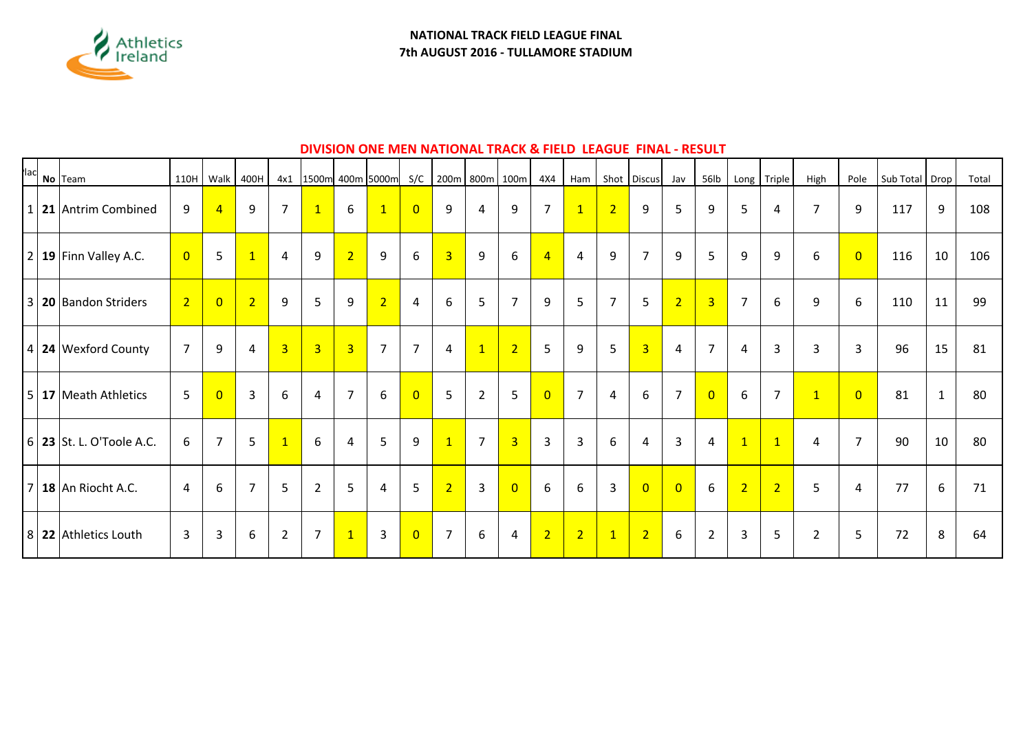

# **DIVISION ONE MEN NATIONAL TRACK & FIELD LEAGUE FINAL - RESULT**

| <b>lac</b>     | No Team                      | 110H Walk      |                | 400H           |                |                |                | 4x1 1500m 400m 5000m | S/C            |                |                | 200m 800m 100m          | 4X4            | Ham            |                | Shot Discus    | Jav            | 56lb           | Long           | Triple         | High           | Pole           | Sub Total Drop |              | Total |
|----------------|------------------------------|----------------|----------------|----------------|----------------|----------------|----------------|----------------------|----------------|----------------|----------------|-------------------------|----------------|----------------|----------------|----------------|----------------|----------------|----------------|----------------|----------------|----------------|----------------|--------------|-------|
| 1              | 21 Antrim Combined           | 9              | $\overline{4}$ | 9              | $\overline{7}$ | $\mathbf{1}$   | 6              | $\mathbf{1}$         | $\overline{0}$ | 9              | $\overline{4}$ | 9                       | $\overline{7}$ | $\overline{1}$ | $\overline{2}$ | 9              | 5              | 9              | 5              | 4              | $\overline{7}$ | 9              | 117            | 9            | 108   |
| $\overline{2}$ | 19 Finn Valley A.C.          | $\overline{0}$ | 5              | $\overline{1}$ | 4              | 9              | 2              | 9                    | 6              | $\overline{3}$ | 9              | 6                       | $\overline{4}$ | 4              | 9              | $\overline{7}$ | 9              | 5 <sup>5</sup> | 9              | 9              | 6              | $\overline{0}$ | 116            | 10           | 106   |
| $\overline{3}$ | 20 Bandon Striders           | $\overline{2}$ | $\overline{0}$ | $\overline{2}$ | 9              | 5              | 9              | $\overline{2}$       | 4              | 6              | 5              | $\overline{7}$          | 9              | 5              | $\overline{7}$ | 5              | 2 <sup>1</sup> | $\overline{3}$ | $\overline{7}$ | 6              | 9              | 6              | 110            | 11           | 99    |
|                | $ 4 $ 24 Wexford County      | $\overline{7}$ | 9              | 4              | 3 <sup>1</sup> | $\overline{3}$ | $\overline{3}$ | $\overline{7}$       | $\overline{7}$ | $\overline{4}$ | $\overline{1}$ | $\overline{2}$          | 5              | $\overline{9}$ | 5              | $\overline{3}$ | 4              | $\overline{7}$ | 4              | 3              | 3              | 3              | 96             | 15           | 81    |
| 5              | 17 Meath Athletics           | 5              | $\overline{0}$ | $\mathbf{3}$   | 6              | 4              | $\overline{7}$ | 6                    | $\overline{0}$ | 5              | $\overline{2}$ | 5                       | $\overline{0}$ | $\overline{7}$ | 4              | 6              | $\overline{7}$ | $\overline{0}$ | 6              | $\overline{7}$ | $\overline{1}$ | $\overline{0}$ | 81             | $\mathbf{1}$ | 80    |
|                | $ 6 $ 23 St. L. O'Toole A.C. | 6              | 7              | 5              | $\overline{1}$ | 6              | 4              | 5                    | 9              | $\mathbf{1}$   | $\overline{7}$ | $\overline{\mathbf{3}}$ | $\overline{3}$ | 3              | 6              | 4              | 3              | 4              | $\mathbf{1}$   | $\overline{1}$ | $\overline{4}$ | $\overline{7}$ | 90             | 10           | 80    |
| 7              | 18 An Riocht A.C.            | $\overline{4}$ | 6              | $\overline{7}$ | 5              | $\overline{2}$ | 5              | 4                    | 5              | $\overline{2}$ | $\overline{3}$ | $\overline{0}$          | 6              | 6              | 3              | $\overline{0}$ | $\overline{0}$ | 6              | 2 <sup>1</sup> | 2              | 5              | 4              | 77             | 6            | 71    |
|                | 8 22 Athletics Louth         | $\overline{3}$ | 3              | 6              | $\overline{2}$ | $\overline{7}$ | $\mathbf{1}$   | 3                    | $\overline{0}$ | $\overline{7}$ | 6              | $\overline{4}$          | 2              | $\overline{2}$ | $\mathbf{1}$   | $\overline{2}$ | 6              | $\overline{2}$ | 3              | 5              | $\overline{2}$ | 5              | 72             | 8            | 64    |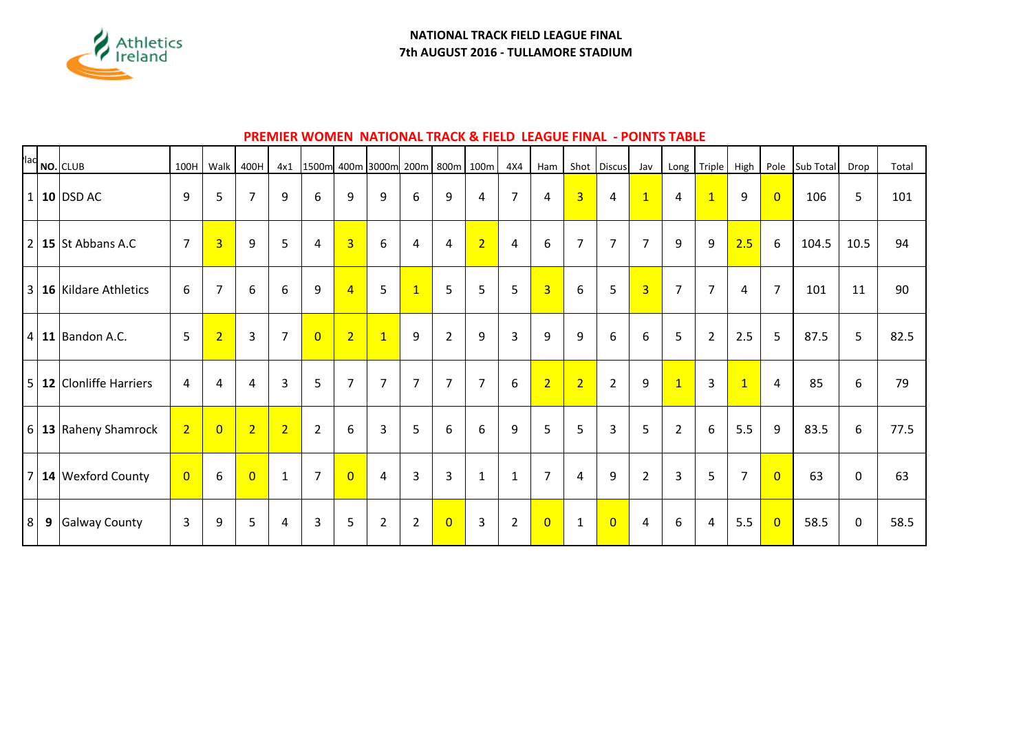

### **PREMIER WOMEN NATIONAL TRACK & FIELD LEAGUE FINAL - POINTS TABLE**

|                |                  | $\left  \frac{1}{1} \right $ NO. CLUB | 100H           | Walk           | 400H           | 4x1            | 1500m 400m 3000m 200m 800m 100m |                |                |                |                |                | 4X4            | Ham            |                  | Shot Discus    | Jav            | Long            | Triple         | High           | Pole           | Sub Total | Drop        | Total |
|----------------|------------------|---------------------------------------|----------------|----------------|----------------|----------------|---------------------------------|----------------|----------------|----------------|----------------|----------------|----------------|----------------|------------------|----------------|----------------|-----------------|----------------|----------------|----------------|-----------|-------------|-------|
|                |                  | $1 10 $ DSD AC                        | 9              | 5              | $\overline{7}$ | 9              | 6                               | 9              | 9              | 6              | 9              | $\overline{4}$ | $\overline{7}$ | 4              | $\overline{3}$   | 4              | $\overline{1}$ | 4               | $\overline{1}$ | 9              | $\overline{0}$ | 106       | 5           | 101   |
|                |                  | $2 \mid 15 \mid$ St Abbans A.C        | $\overline{7}$ | $\overline{3}$ | 9              | 5              | 4                               | $\overline{3}$ | 6              | $\overline{4}$ | 4              | $\overline{2}$ | 4              | 6              | $\overline{7}$   | $\overline{7}$ | $\overline{7}$ | 9               | 9              | 2.5            | 6              | 104.5     | 10.5        | 94    |
|                |                  | $3$ 16 Kildare Athletics              | 6              | $\overline{7}$ | 6              | 6              | 9                               | $\overline{4}$ | 5              | $\overline{1}$ | 5 <sup>1</sup> | 5              | 5              | $\overline{3}$ | 6                | 5 <sub>5</sub> | $\overline{3}$ | $\overline{7}$  | $\overline{7}$ | 4              | $\overline{7}$ | 101       | 11          | 90    |
|                |                  | $4 \mid 11 \mid$ Bandon A.C.          | 5              | $\overline{2}$ | 3              | $\overline{7}$ | $\overline{0}$                  | $\overline{2}$ | $\overline{1}$ | 9              | $\overline{2}$ | 9              | 3              | $9\,$          | $\boldsymbol{9}$ | 6              | 6              | $5\overline{)}$ | $\overline{2}$ | 2.5            | 5              | 87.5      | 5           | 82.5  |
| 5 <sup>1</sup> |                  | 12 Clonliffe Harriers                 | $\overline{4}$ | 4              | $\overline{4}$ | 3              | 5                               | $\overline{7}$ | $\overline{7}$ | $\overline{7}$ | $\overline{7}$ | $\overline{7}$ | 6              | $\overline{2}$ | $\overline{2}$   | $\overline{2}$ | 9              | $\overline{1}$  | 3              | $\overline{1}$ | $\overline{4}$ | 85        | 6           | 79    |
|                |                  | $6 13 $ Raheny Shamrock               | $\overline{2}$ | $\overline{0}$ | $\overline{2}$ | $\overline{2}$ | $\overline{2}$                  | 6              | $\overline{3}$ | 5              | 6              | 6              | 9              | 5              | 5                | 3              | 5              | $\overline{2}$  | 6              | 5.5            | 9              | 83.5      | 6           | 77.5  |
| $\overline{7}$ |                  | 14 Wexford County                     | $\overline{0}$ | 6              | $\overline{0}$ | $\mathbf{1}$   | $\overline{7}$                  | $\overline{0}$ | 4              | $\overline{3}$ | 3              | $\mathbf{1}$   | $\mathbf{1}$   | $\overline{7}$ | 4                | $9\,$          | $\overline{2}$ | $\overline{3}$  | 5              | $\overline{7}$ | $\overline{0}$ | 63        | 0           | 63    |
| 8              | $\boldsymbol{9}$ | Galway County                         | 3              | 9              | 5              | 4              | 3                               | 5              | $\overline{2}$ | $\overline{2}$ | $\overline{0}$ | 3              | $\overline{2}$ | $\overline{0}$ | $\mathbf{1}$     | $\overline{0}$ | 4              | 6               | 4              | 5.5            | $\overline{0}$ | 58.5      | $\mathbf 0$ | 58.5  |